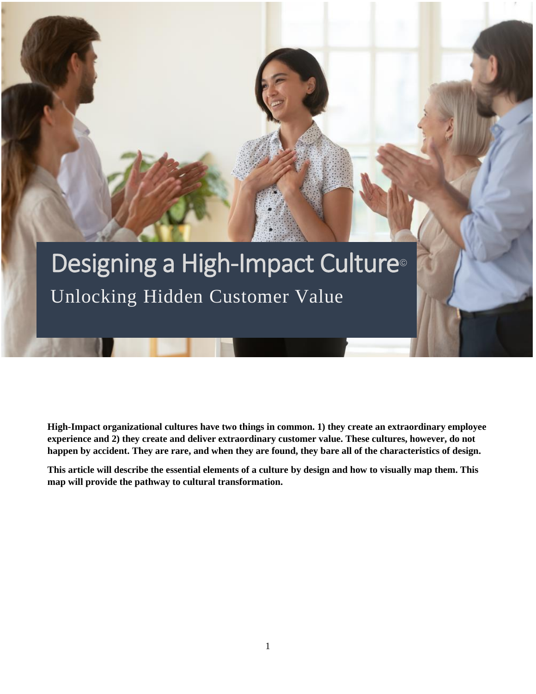### Designing a High-Impact Culture<sup>®</sup> Unlocking Hidden Customer Value

**High-Impact organizational cultures have two things in common. 1) they create an extraordinary employee experience and 2) they create and deliver extraordinary customer value. These cultures, however, do not happen by accident. They are rare, and when they are found, they bare all of the characteristics of design.** 

**This article will describe the essential elements of a culture by design and how to visually map them. This map will provide the pathway to cultural transformation.**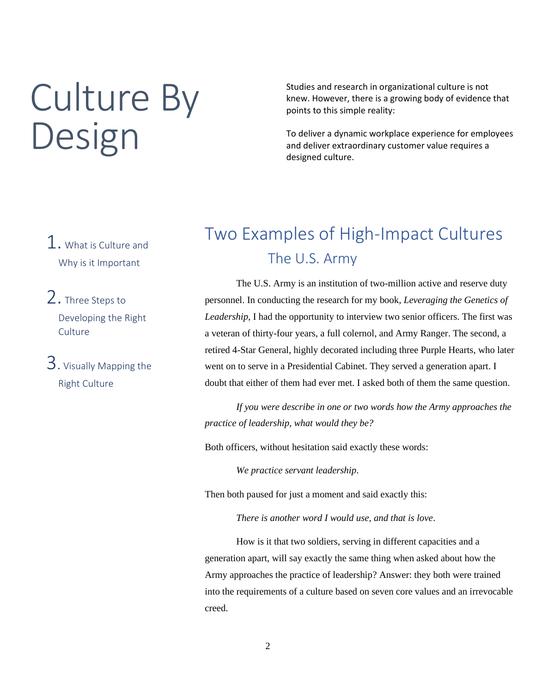### Culture By Design

Studies and research in organizational culture is not knew. However, there is a growing body of evidence that points to this simple reality:

To deliver a dynamic workplace experience for employees and deliver extraordinary customer value requires a designed culture.

- 1. What is Culture and Why is it Important
- 2. Three Steps to Developing the Right **Culture**
- 3. Visually Mapping the Right Culture

#### Two Examples of High-Impact Cultures The U.S. Army

The U.S. Army is an institution of two-million active and reserve duty personnel. In conducting the research for my book, *Leveraging the Genetics of Leadership*, I had the opportunity to interview two senior officers. The first was a veteran of thirty-four years, a full colernol, and Army Ranger. The second, a retired 4-Star General, highly decorated including three Purple Hearts, who later went on to serve in a Presidential Cabinet. They served a generation apart. I doubt that either of them had ever met. I asked both of them the same question.

*If you were describe in one or two words how the Army approaches the practice of leadership, what would they be?*

Both officers, without hesitation said exactly these words:

*We practice servant leadership*.

Then both paused for just a moment and said exactly this:

*There is another word I would use, and that is love*.

How is it that two soldiers, serving in different capacities and a generation apart, will say exactly the same thing when asked about how the Army approaches the practice of leadership? Answer: they both were trained into the requirements of a culture based on seven core values and an irrevocable creed.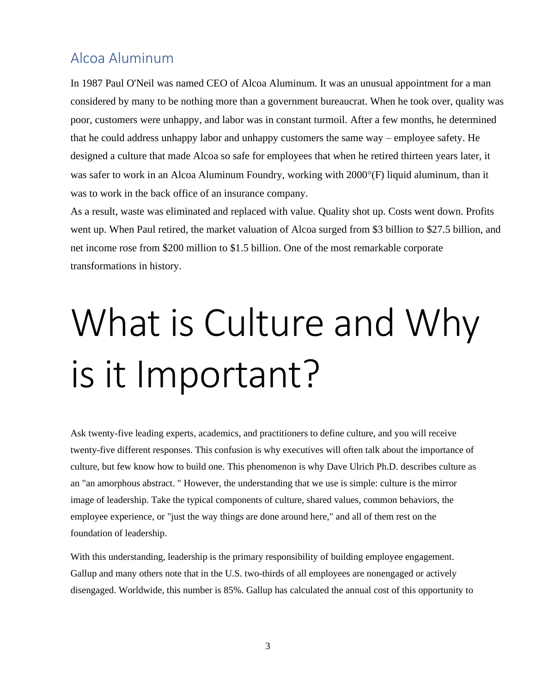#### Alcoa Aluminum

In 1987 Paul O'Neil was named CEO of Alcoa Aluminum. It was an unusual appointment for a man considered by many to be nothing more than a government bureaucrat. When he took over, quality was poor, customers were unhappy, and labor was in constant turmoil. After a few months, he determined that he could address unhappy labor and unhappy customers the same way – employee safety. He designed a culture that made Alcoa so safe for employees that when he retired thirteen years later, it was safer to work in an Alcoa Aluminum Foundry, working with  $2000^{\circ}$ (F) liquid aluminum, than it was to work in the back office of an insurance company.

As a result, waste was eliminated and replaced with value. Quality shot up. Costs went down. Profits went up. When Paul retired, the market valuation of Alcoa surged from \$3 billion to \$27.5 billion, and net income rose from \$200 million to \$1.5 billion. One of the most remarkable corporate transformations in history.

## What is Culture and Why is it Important?

Ask twenty-five leading experts, academics, and practitioners to define culture, and you will receive twenty-five different responses. This confusion is why executives will often talk about the importance of culture, but few know how to build one. This phenomenon is why Dave Ulrich Ph.D. describes culture as an "an amorphous abstract. " However, the understanding that we use is simple: culture is the mirror image of leadership. Take the typical components of culture, shared values, common behaviors, the employee experience, or "just the way things are done around here," and all of them rest on the foundation of leadership.

With this understanding, leadership is the primary responsibility of building employee engagement. Gallup and many others note that in the U.S. two-thirds of all employees are nonengaged or actively disengaged. Worldwide, this number is 85%. Gallup has calculated the annual cost of this opportunity to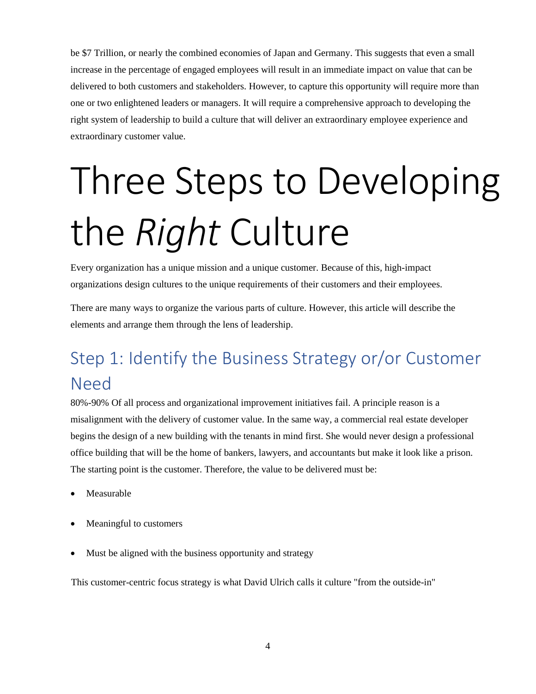be \$7 Trillion, or nearly the combined economies of Japan and Germany. This suggests that even a small increase in the percentage of engaged employees will result in an immediate impact on value that can be delivered to both customers and stakeholders. However, to capture this opportunity will require more than one or two enlightened leaders or managers. It will require a comprehensive approach to developing the right system of leadership to build a culture that will deliver an extraordinary employee experience and extraordinary customer value.

# Three Steps to Developing the *Right* Culture

Every organization has a unique mission and a unique customer. Because of this, high-impact organizations design cultures to the unique requirements of their customers and their employees.

There are many ways to organize the various parts of culture. However, this article will describe the elements and arrange them through the lens of leadership.

#### Step 1: Identify the Business Strategy or/or Customer Need

80%-90% Of all process and organizational improvement initiatives fail. A principle reason is a misalignment with the delivery of customer value. In the same way, a commercial real estate developer begins the design of a new building with the tenants in mind first. She would never design a professional office building that will be the home of bankers, lawyers, and accountants but make it look like a prison. The starting point is the customer. Therefore, the value to be delivered must be:

- **Measurable**
- Meaningful to customers
- Must be aligned with the business opportunity and strategy

This customer-centric focus strategy is what David Ulrich calls it culture "from the outside-in"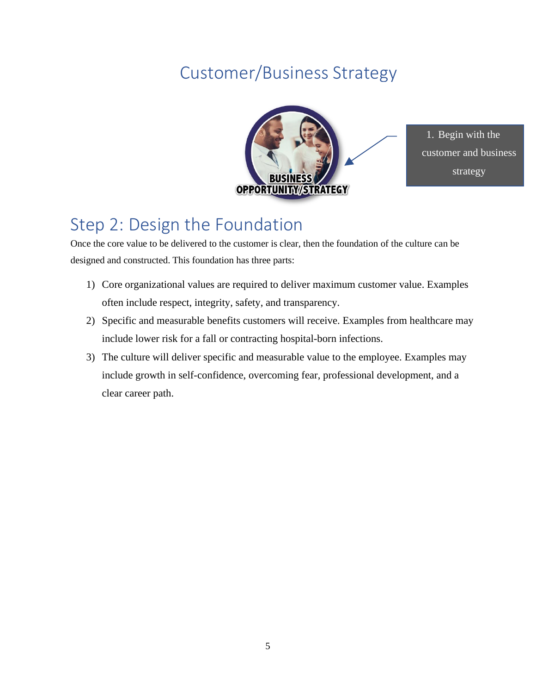#### Customer/Business Strategy



1. Begin with the customer and business strategy

#### Step 2: Design the Foundation

Once the core value to be delivered to the customer is clear, then the foundation of the culture can be designed and constructed. This foundation has three parts:

- 1) Core organizational values are required to deliver maximum customer value. Examples often include respect, integrity, safety, and transparency.
- 2) Specific and measurable benefits customers will receive. Examples from healthcare may include lower risk for a fall or contracting hospital-born infections.
- 3) The culture will deliver specific and measurable value to the employee. Examples may include growth in self-confidence, overcoming fear, professional development, and a clear career path.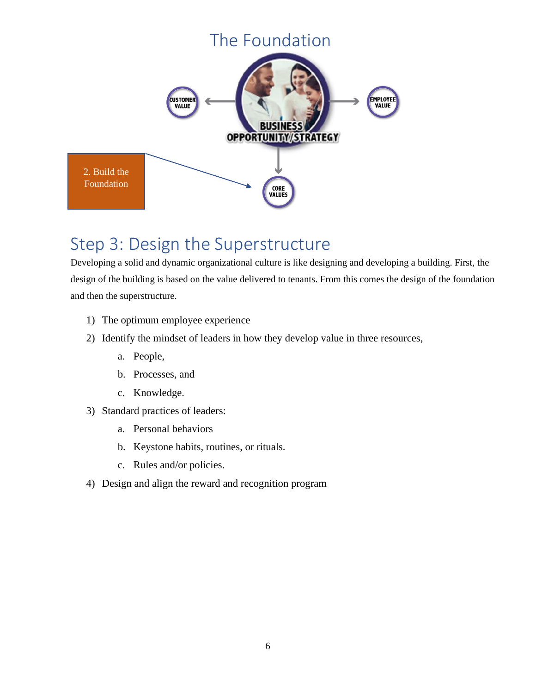

#### Step 3: Design the Superstructure

Developing a solid and dynamic organizational culture is like designing and developing a building. First, the design of the building is based on the value delivered to tenants. From this comes the design of the foundation and then the superstructure.

- 1) The optimum employee experience
- 2) Identify the mindset of leaders in how they develop value in three resources,
	- a. People,
	- b. Processes, and
	- c. Knowledge.
- 3) Standard practices of leaders:
	- a. Personal behaviors
	- b. Keystone habits, routines, or rituals.
	- c. Rules and/or policies.
- 4) Design and align the reward and recognition program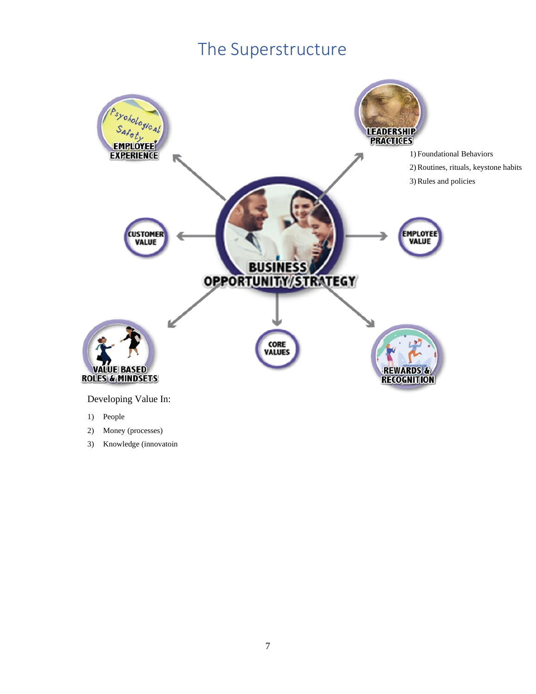#### The Superstructure



3) Knowledge (innovatoin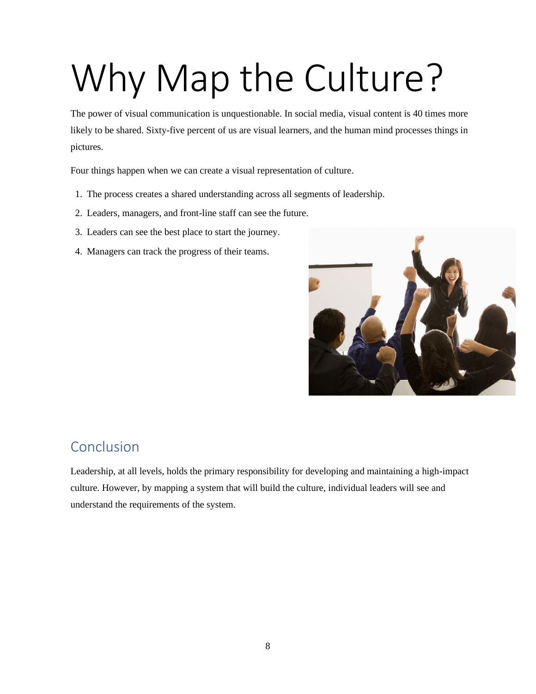## Why Map the Culture?

The power of visual communication is unquestionable. In social media, visual content is 40 times more likely to be shared. Sixty-five percent of us are visual learners, and the human mind processes things in pictures.

Four things happen when we can create a visual representation of culture.

- 1. The process creates a shared understanding across all segments of leadership.
- 2. Leaders, managers, and front-line staff can see the future.
- 3. Leaders can see the best place to start the journey.
- 4. Managers can track the progress of their teams.



#### Conclusion

Leadership, at all levels, holds the primary responsibility for developing and maintaining a high-impact culture. However, by mapping a system that will build the culture, individual leaders will see and understand the requirements of the system.